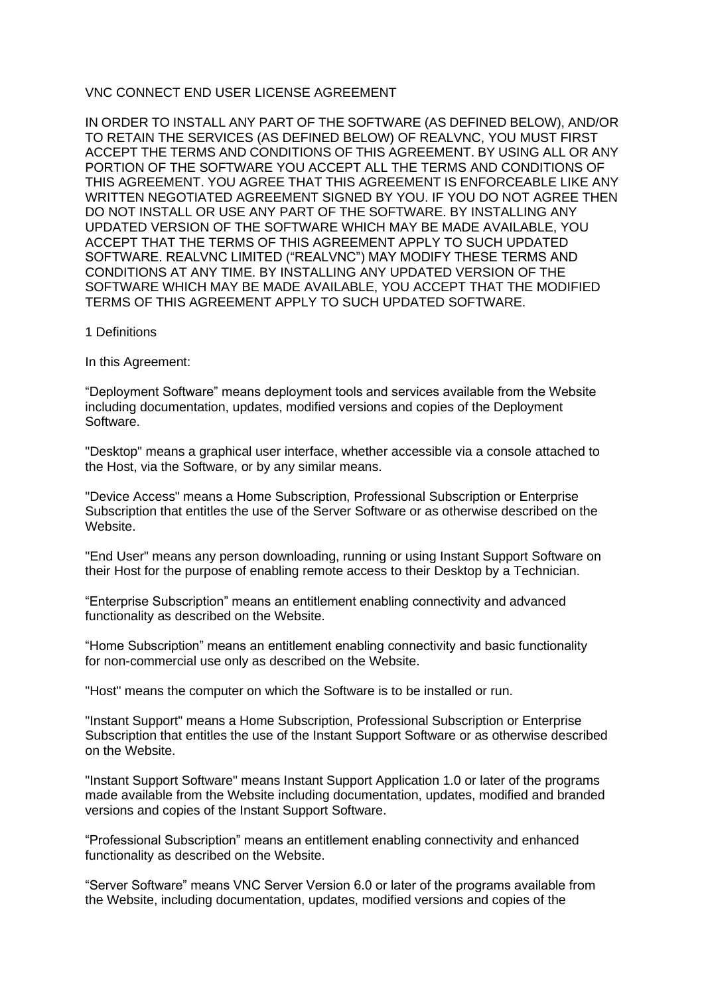## VNC CONNECT END USER LICENSE AGREEMENT

IN ORDER TO INSTALL ANY PART OF THE SOFTWARE (AS DEFINED BELOW), AND/OR TO RETAIN THE SERVICES (AS DEFINED BELOW) OF REALVNC, YOU MUST FIRST ACCEPT THE TERMS AND CONDITIONS OF THIS AGREEMENT. BY USING ALL OR ANY PORTION OF THE SOFTWARE YOU ACCEPT ALL THE TERMS AND CONDITIONS OF THIS AGREEMENT. YOU AGREE THAT THIS AGREEMENT IS ENFORCEABLE LIKE ANY WRITTEN NEGOTIATED AGREEMENT SIGNED BY YOU. IF YOU DO NOT AGREE THEN DO NOT INSTALL OR USE ANY PART OF THE SOFTWARE. BY INSTALLING ANY UPDATED VERSION OF THE SOFTWARE WHICH MAY BE MADE AVAILABLE, YOU ACCEPT THAT THE TERMS OF THIS AGREEMENT APPLY TO SUCH UPDATED SOFTWARE. REALVNC LIMITED ("REALVNC") MAY MODIFY THESE TERMS AND CONDITIONS AT ANY TIME. BY INSTALLING ANY UPDATED VERSION OF THE SOFTWARE WHICH MAY BE MADE AVAILABLE, YOU ACCEPT THAT THE MODIFIED TERMS OF THIS AGREEMENT APPLY TO SUCH UPDATED SOFTWARE.

1 Definitions

In this Agreement:

"Deployment Software" means deployment tools and services available from the Website including documentation, updates, modified versions and copies of the Deployment Software.

"Desktop" means a graphical user interface, whether accessible via a console attached to the Host, via the Software, or by any similar means.

"Device Access" means a Home Subscription, Professional Subscription or Enterprise Subscription that entitles the use of the Server Software or as otherwise described on the **Website** 

"End User" means any person downloading, running or using Instant Support Software on their Host for the purpose of enabling remote access to their Desktop by a Technician.

"Enterprise Subscription" means an entitlement enabling connectivity and advanced functionality as described on the Website.

"Home Subscription" means an entitlement enabling connectivity and basic functionality for non-commercial use only as described on the Website.

"Host" means the computer on which the Software is to be installed or run.

"Instant Support" means a Home Subscription, Professional Subscription or Enterprise Subscription that entitles the use of the Instant Support Software or as otherwise described on the Website.

"Instant Support Software" means Instant Support Application 1.0 or later of the programs made available from the Website including documentation, updates, modified and branded versions and copies of the Instant Support Software.

"Professional Subscription" means an entitlement enabling connectivity and enhanced functionality as described on the Website.

"Server Software" means VNC Server Version 6.0 or later of the programs available from the Website, including documentation, updates, modified versions and copies of the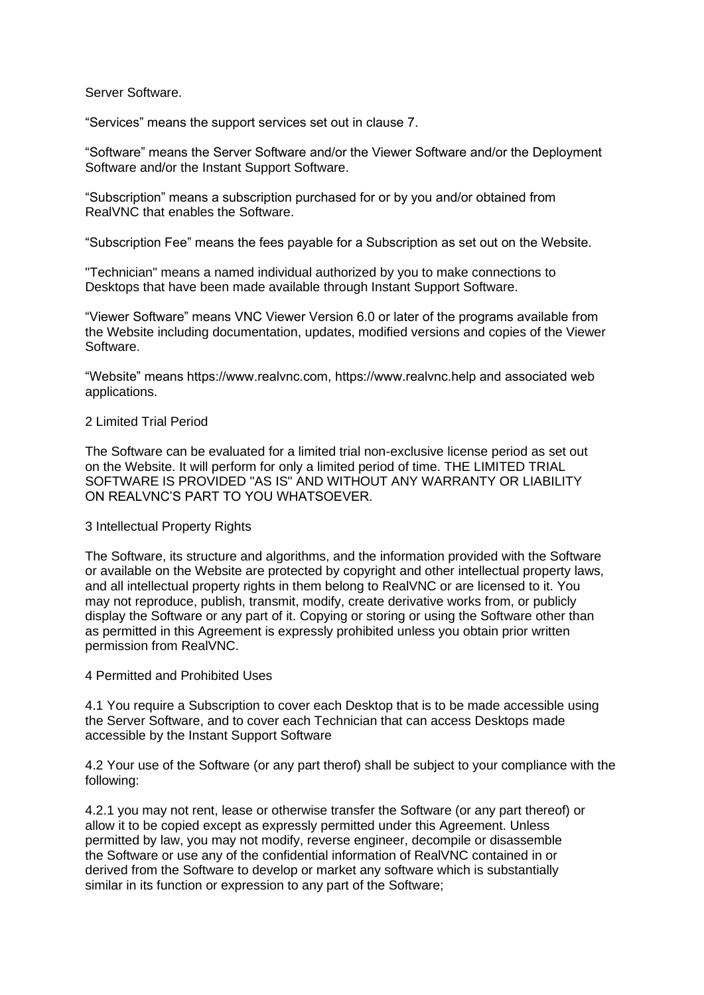Server Software.

"Services" means the support services set out in clause 7.

"Software" means the Server Software and/or the Viewer Software and/or the Deployment Software and/or the Instant Support Software.

"Subscription" means a subscription purchased for or by you and/or obtained from RealVNC that enables the Software.

"Subscription Fee" means the fees payable for a Subscription as set out on the Website.

"Technician" means a named individual authorized by you to make connections to Desktops that have been made available through Instant Support Software.

"Viewer Software" means VNC Viewer Version 6.0 or later of the programs available from the Website including documentation, updates, modified versions and copies of the Viewer Software.

"Website" means https://www.realvnc.com, https://www.realvnc.help and associated web applications.

## 2 Limited Trial Period

The Software can be evaluated for a limited trial non-exclusive license period as set out on the Website. It will perform for only a limited period of time. THE LIMITED TRIAL SOFTWARE IS PROVIDED "AS IS" AND WITHOUT ANY WARRANTY OR LIABILITY ON REALVNC'S PART TO YOU WHATSOEVER.

#### 3 Intellectual Property Rights

The Software, its structure and algorithms, and the information provided with the Software or available on the Website are protected by copyright and other intellectual property laws, and all intellectual property rights in them belong to RealVNC or are licensed to it. You may not reproduce, publish, transmit, modify, create derivative works from, or publicly display the Software or any part of it. Copying or storing or using the Software other than as permitted in this Agreement is expressly prohibited unless you obtain prior written permission from RealVNC.

4 Permitted and Prohibited Uses

4.1 You require a Subscription to cover each Desktop that is to be made accessible using the Server Software, and to cover each Technician that can access Desktops made accessible by the Instant Support Software

4.2 Your use of the Software (or any part therof) shall be subject to your compliance with the following:

4.2.1 you may not rent, lease or otherwise transfer the Software (or any part thereof) or allow it to be copied except as expressly permitted under this Agreement. Unless permitted by law, you may not modify, reverse engineer, decompile or disassemble the Software or use any of the confidential information of RealVNC contained in or derived from the Software to develop or market any software which is substantially similar in its function or expression to any part of the Software;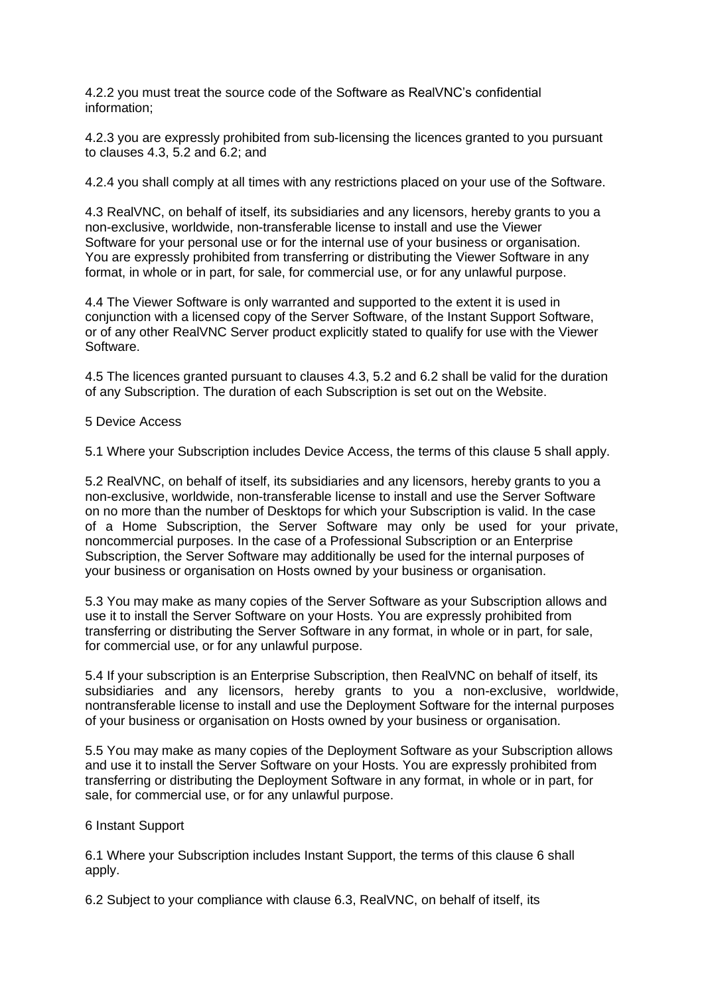4.2.2 you must treat the source code of the Software as RealVNC's confidential information;

4.2.3 you are expressly prohibited from sub-licensing the licences granted to you pursuant to clauses 4.3, 5.2 and 6.2; and

4.2.4 you shall comply at all times with any restrictions placed on your use of the Software.

4.3 RealVNC, on behalf of itself, its subsidiaries and any licensors, hereby grants to you a non-exclusive, worldwide, non-transferable license to install and use the Viewer Software for your personal use or for the internal use of your business or organisation. You are expressly prohibited from transferring or distributing the Viewer Software in any format, in whole or in part, for sale, for commercial use, or for any unlawful purpose.

4.4 The Viewer Software is only warranted and supported to the extent it is used in conjunction with a licensed copy of the Server Software, of the Instant Support Software, or of any other RealVNC Server product explicitly stated to qualify for use with the Viewer Software.

4.5 The licences granted pursuant to clauses 4.3, 5.2 and 6.2 shall be valid for the duration of any Subscription. The duration of each Subscription is set out on the Website.

5 Device Access

5.1 Where your Subscription includes Device Access, the terms of this clause 5 shall apply.

5.2 RealVNC, on behalf of itself, its subsidiaries and any licensors, hereby grants to you a non-exclusive, worldwide, non-transferable license to install and use the Server Software on no more than the number of Desktops for which your Subscription is valid. In the case of a Home Subscription, the Server Software may only be used for your private, noncommercial purposes. In the case of a Professional Subscription or an Enterprise Subscription, the Server Software may additionally be used for the internal purposes of your business or organisation on Hosts owned by your business or organisation.

5.3 You may make as many copies of the Server Software as your Subscription allows and use it to install the Server Software on your Hosts. You are expressly prohibited from transferring or distributing the Server Software in any format, in whole or in part, for sale, for commercial use, or for any unlawful purpose.

5.4 If your subscription is an Enterprise Subscription, then RealVNC on behalf of itself, its subsidiaries and any licensors, hereby grants to you a non-exclusive, worldwide, nontransferable license to install and use the Deployment Software for the internal purposes of your business or organisation on Hosts owned by your business or organisation.

5.5 You may make as many copies of the Deployment Software as your Subscription allows and use it to install the Server Software on your Hosts. You are expressly prohibited from transferring or distributing the Deployment Software in any format, in whole or in part, for sale, for commercial use, or for any unlawful purpose.

# 6 Instant Support

6.1 Where your Subscription includes Instant Support, the terms of this clause 6 shall apply.

6.2 Subject to your compliance with clause 6.3, RealVNC, on behalf of itself, its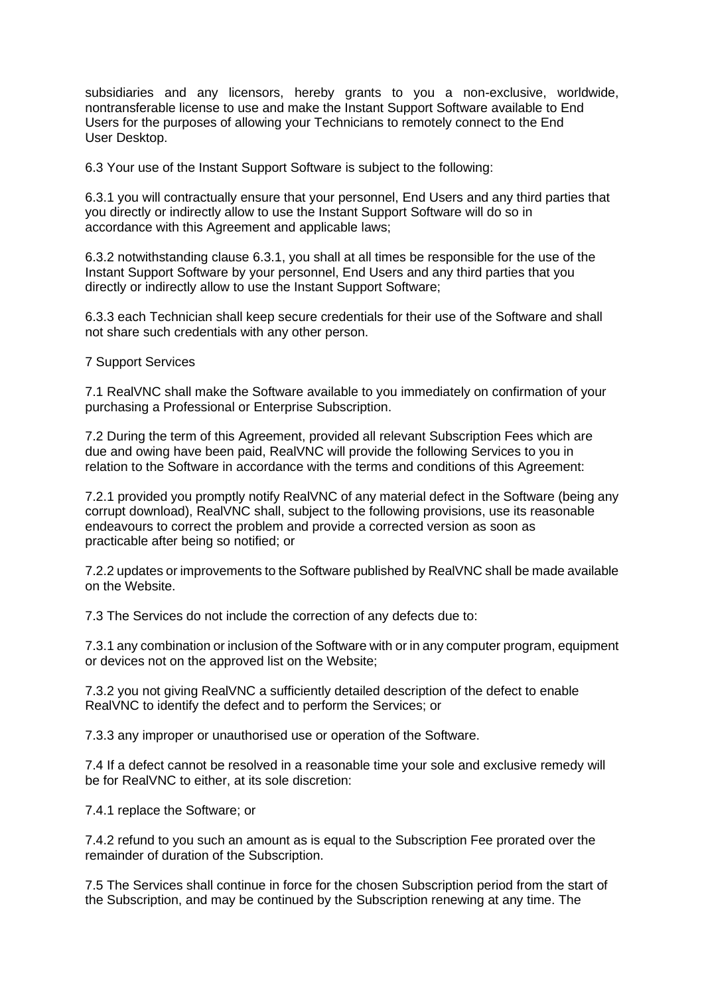subsidiaries and any licensors, hereby grants to you a non-exclusive, worldwide, nontransferable license to use and make the Instant Support Software available to End Users for the purposes of allowing your Technicians to remotely connect to the End User Desktop.

6.3 Your use of the Instant Support Software is subject to the following:

6.3.1 you will contractually ensure that your personnel, End Users and any third parties that you directly or indirectly allow to use the Instant Support Software will do so in accordance with this Agreement and applicable laws;

6.3.2 notwithstanding clause 6.3.1, you shall at all times be responsible for the use of the Instant Support Software by your personnel, End Users and any third parties that you directly or indirectly allow to use the Instant Support Software;

6.3.3 each Technician shall keep secure credentials for their use of the Software and shall not share such credentials with any other person.

7 Support Services

7.1 RealVNC shall make the Software available to you immediately on confirmation of your purchasing a Professional or Enterprise Subscription.

7.2 During the term of this Agreement, provided all relevant Subscription Fees which are due and owing have been paid, RealVNC will provide the following Services to you in relation to the Software in accordance with the terms and conditions of this Agreement:

7.2.1 provided you promptly notify RealVNC of any material defect in the Software (being any corrupt download), RealVNC shall, subject to the following provisions, use its reasonable endeavours to correct the problem and provide a corrected version as soon as practicable after being so notified; or

7.2.2 updates or improvements to the Software published by RealVNC shall be made available on the Website.

7.3 The Services do not include the correction of any defects due to:

7.3.1 any combination or inclusion of the Software with or in any computer program, equipment or devices not on the approved list on the Website;

7.3.2 you not giving RealVNC a sufficiently detailed description of the defect to enable RealVNC to identify the defect and to perform the Services; or

7.3.3 any improper or unauthorised use or operation of the Software.

7.4 If a defect cannot be resolved in a reasonable time your sole and exclusive remedy will be for RealVNC to either, at its sole discretion:

7.4.1 replace the Software; or

7.4.2 refund to you such an amount as is equal to the Subscription Fee prorated over the remainder of duration of the Subscription.

7.5 The Services shall continue in force for the chosen Subscription period from the start of the Subscription, and may be continued by the Subscription renewing at any time. The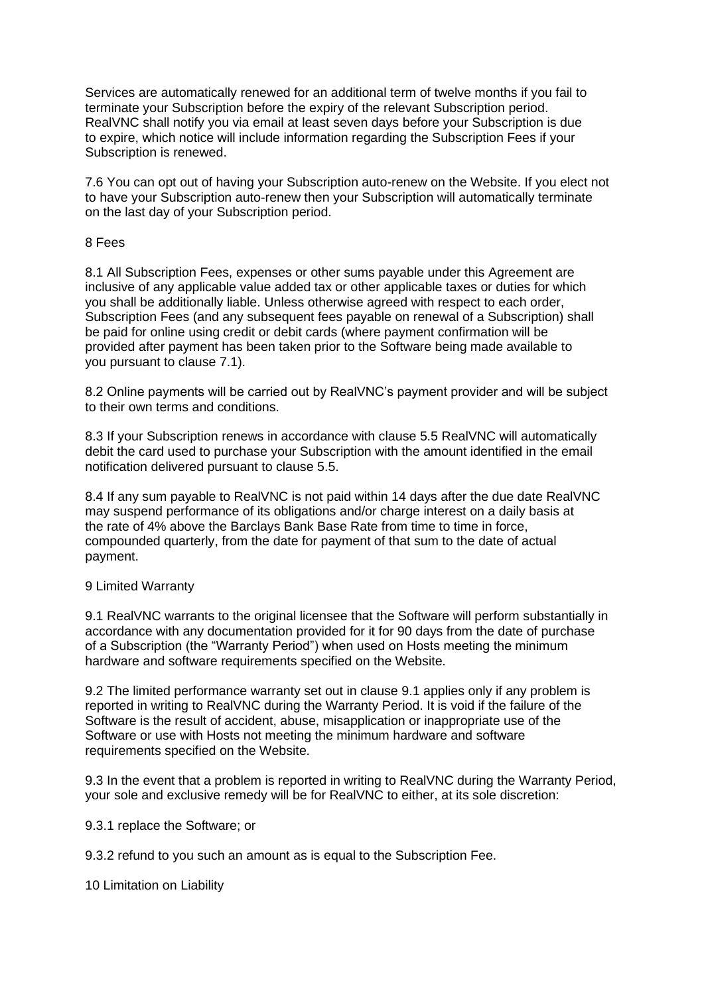Services are automatically renewed for an additional term of twelve months if you fail to terminate your Subscription before the expiry of the relevant Subscription period. RealVNC shall notify you via email at least seven days before your Subscription is due to expire, which notice will include information regarding the Subscription Fees if your Subscription is renewed.

7.6 You can opt out of having your Subscription auto-renew on the Website. If you elect not to have your Subscription auto-renew then your Subscription will automatically terminate on the last day of your Subscription period.

## 8 Fees

8.1 All Subscription Fees, expenses or other sums payable under this Agreement are inclusive of any applicable value added tax or other applicable taxes or duties for which you shall be additionally liable. Unless otherwise agreed with respect to each order, Subscription Fees (and any subsequent fees payable on renewal of a Subscription) shall be paid for online using credit or debit cards (where payment confirmation will be provided after payment has been taken prior to the Software being made available to you pursuant to clause 7.1).

8.2 Online payments will be carried out by RealVNC's payment provider and will be subject to their own terms and conditions.

8.3 If your Subscription renews in accordance with clause 5.5 RealVNC will automatically debit the card used to purchase your Subscription with the amount identified in the email notification delivered pursuant to clause 5.5.

8.4 If any sum payable to RealVNC is not paid within 14 days after the due date RealVNC may suspend performance of its obligations and/or charge interest on a daily basis at the rate of 4% above the Barclays Bank Base Rate from time to time in force, compounded quarterly, from the date for payment of that sum to the date of actual payment.

# 9 Limited Warranty

9.1 RealVNC warrants to the original licensee that the Software will perform substantially in accordance with any documentation provided for it for 90 days from the date of purchase of a Subscription (the "Warranty Period") when used on Hosts meeting the minimum hardware and software requirements specified on the Website.

9.2 The limited performance warranty set out in clause 9.1 applies only if any problem is reported in writing to RealVNC during the Warranty Period. It is void if the failure of the Software is the result of accident, abuse, misapplication or inappropriate use of the Software or use with Hosts not meeting the minimum hardware and software requirements specified on the Website.

9.3 In the event that a problem is reported in writing to RealVNC during the Warranty Period, your sole and exclusive remedy will be for RealVNC to either, at its sole discretion:

9.3.1 replace the Software; or

9.3.2 refund to you such an amount as is equal to the Subscription Fee.

10 Limitation on Liability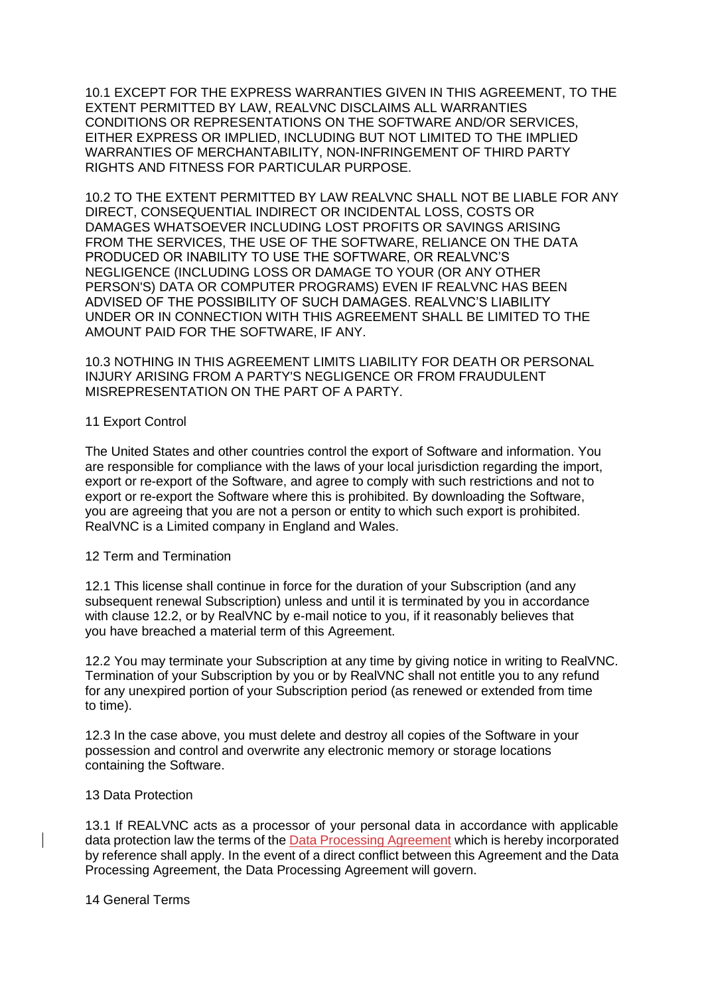10.1 EXCEPT FOR THE EXPRESS WARRANTIES GIVEN IN THIS AGREEMENT, TO THE EXTENT PERMITTED BY LAW, REALVNC DISCLAIMS ALL WARRANTIES CONDITIONS OR REPRESENTATIONS ON THE SOFTWARE AND/OR SERVICES, EITHER EXPRESS OR IMPLIED, INCLUDING BUT NOT LIMITED TO THE IMPLIED WARRANTIES OF MERCHANTABILITY, NON-INFRINGEMENT OF THIRD PARTY RIGHTS AND FITNESS FOR PARTICULAR PURPOSE.

10.2 TO THE EXTENT PERMITTED BY LAW REALVNC SHALL NOT BE LIABLE FOR ANY DIRECT, CONSEQUENTIAL INDIRECT OR INCIDENTAL LOSS, COSTS OR DAMAGES WHATSOEVER INCLUDING LOST PROFITS OR SAVINGS ARISING FROM THE SERVICES, THE USE OF THE SOFTWARE, RELIANCE ON THE DATA PRODUCED OR INABILITY TO USE THE SOFTWARE, OR REALVNC'S NEGLIGENCE (INCLUDING LOSS OR DAMAGE TO YOUR (OR ANY OTHER PERSON'S) DATA OR COMPUTER PROGRAMS) EVEN IF REALVNC HAS BEEN ADVISED OF THE POSSIBILITY OF SUCH DAMAGES. REALVNC'S LIABILITY UNDER OR IN CONNECTION WITH THIS AGREEMENT SHALL BE LIMITED TO THE AMOUNT PAID FOR THE SOFTWARE, IF ANY.

10.3 NOTHING IN THIS AGREEMENT LIMITS LIABILITY FOR DEATH OR PERSONAL INJURY ARISING FROM A PARTY'S NEGLIGENCE OR FROM FRAUDULENT MISREPRESENTATION ON THE PART OF A PARTY.

## 11 Export Control

The United States and other countries control the export of Software and information. You are responsible for compliance with the laws of your local jurisdiction regarding the import, export or re-export of the Software, and agree to comply with such restrictions and not to export or re-export the Software where this is prohibited. By downloading the Software, you are agreeing that you are not a person or entity to which such export is prohibited. RealVNC is a Limited company in England and Wales.

# 12 Term and Termination

12.1 This license shall continue in force for the duration of your Subscription (and any subsequent renewal Subscription) unless and until it is terminated by you in accordance with clause 12.2, or by RealVNC by e-mail notice to you, if it reasonably believes that you have breached a material term of this Agreement.

12.2 You may terminate your Subscription at any time by giving notice in writing to RealVNC. Termination of your Subscription by you or by RealVNC shall not entitle you to any refund for any unexpired portion of your Subscription period (as renewed or extended from time to time).

12.3 In the case above, you must delete and destroy all copies of the Software in your possession and control and overwrite any electronic memory or storage locations containing the Software.

#### 13 Data Protection

13.1 If REALVNC acts as a processor of your personal data in accordance with applicable data protection law the terms of th[e Data Processing Agreement](https://help.realvnc.com/hc/en-us/articles/5438412949405-Data-Processing-Agreement-DPA-) which is hereby incorporated by reference shall apply. In the event of a direct conflict between this Agreement and the Data Processing Agreement, the Data Processing Agreement will govern.

14 General Terms